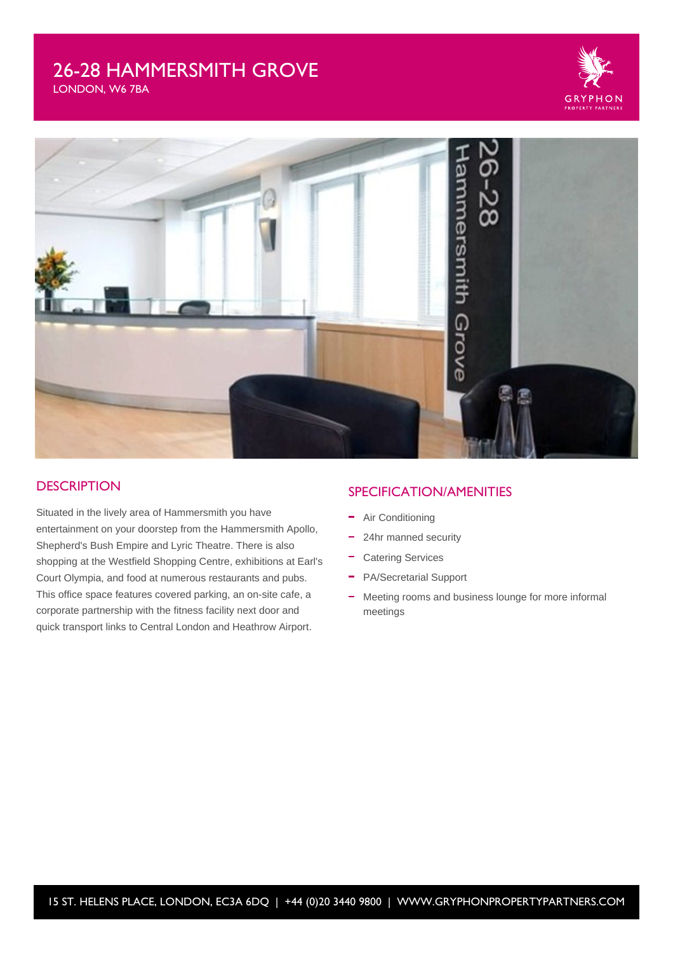# 26-28 HAMMERSMITH GROVE



LONDON, W6 7BA



#### **DESCRIPTION**

Situated in the lively area of Hammersmith you have entertainment on your doorstep from the Hammersmith Apollo, Shepherd's Bush Empire and Lyric Theatre. There is also shopping at the Westfield Shopping Centre, exhibitions at Earl's Court Olympia, and food at numerous restaurants and pubs. This office space features covered parking, an on-site cafe, a corporate partnership with the fitness facility next door and quick transport links to Central London and Heathrow Airport.

#### SPECIFICATION/AMENITIES

- Air Conditioning
- ÷ 24hr manned security
- Catering Services  $\equiv$
- $\equiv$ PA/Secretarial Support
- Meeting rooms and business lounge for more informal  $\equiv$ meetings